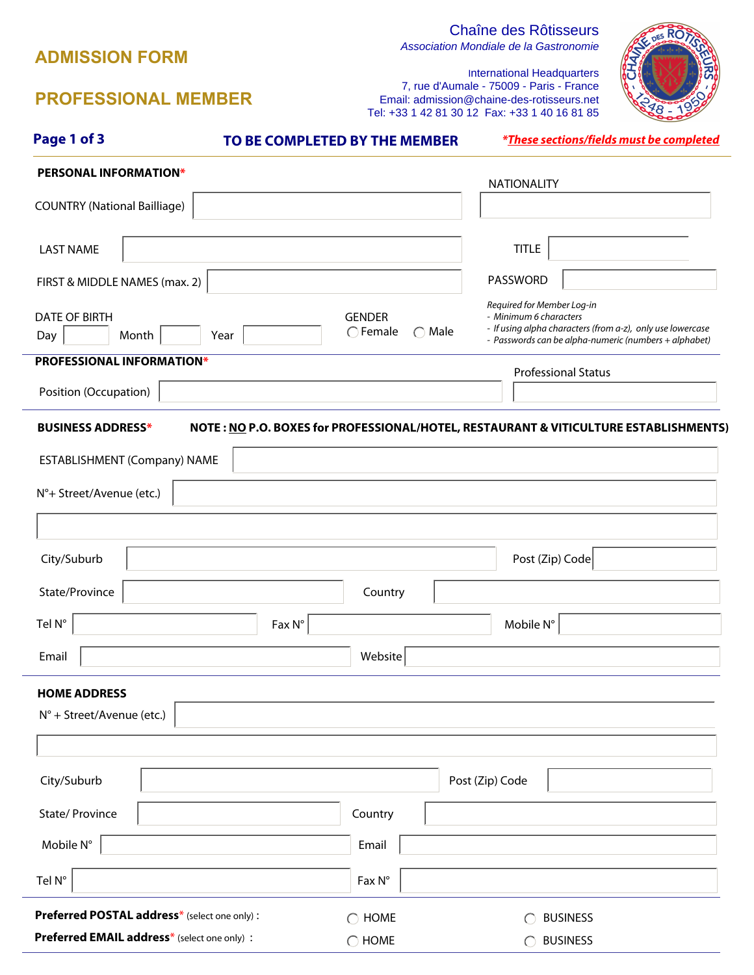## **ADMISSION FORM**

# Chaîne des Rôtisseurs

Association Mondiale de la Gastronomie



International Headquarters 7, rue d'Aumale - 75009 - Paris - France Email: admission@chaine-des-rotisseurs.net<br>sh: +22.4.42.84.20.42. Epx: +22.4.40.46.84.85  $+33$  1 40 16 81 85

|                                              |      |                 | 18. +33 1 42 6 1 30 12 Fax. +33 1 40 10 61 63                                        |                      |                                                                                                                     |                      |
|----------------------------------------------|------|-----------------|--------------------------------------------------------------------------------------|----------------------|---------------------------------------------------------------------------------------------------------------------|----------------------|
| Page 1 of 3                                  |      |                 | TO BE COMPLETED BY THE MEMBER                                                        |                      | <i>*These sections/fields must be completed</i>                                                                     |                      |
| <b>PERSONAL INFORMATION*</b>                 |      |                 |                                                                                      |                      | <b>NATIONALITY</b>                                                                                                  |                      |
| <b>COUNTRY (National Bailliage)</b>          |      |                 | $\blacktriangledown$                                                                 |                      |                                                                                                                     |                      |
|                                              |      |                 |                                                                                      |                      |                                                                                                                     |                      |
| <b>LAST NAME</b>                             |      |                 |                                                                                      |                      | <b>TITLE</b>                                                                                                        |                      |
| FIRST & MIDDLE NAMES (max. 2)                |      |                 |                                                                                      |                      | PASSWORD                                                                                                            |                      |
| <b>DATE OF BIRTH</b>                         |      |                 | <b>GENDER</b>                                                                        |                      | Required for Member Log-in<br>- Minimum 6 characters                                                                |                      |
| Day<br>Month                                 | Year |                 | $\bigcap$ Female<br>$\bigcirc$ Male                                                  |                      | - If using alpha characters (from a-z), only use lowercase<br>- Passwords can be alpha-numeric (numbers + alphabet) |                      |
| PROFESSIONAL INFORMATION*                    |      |                 |                                                                                      |                      | <b>Professional Status</b>                                                                                          |                      |
| Position (Occupation)                        |      |                 |                                                                                      | $\blacktriangledown$ |                                                                                                                     | $\blacktriangledown$ |
| <b>BUSINESS ADDRESS*</b>                     |      |                 | NOTE: NO P.O. BOXES for PROFESSIONAL/HOTEL, RESTAURANT & VITICULTURE ESTABLISHMENTS) |                      |                                                                                                                     |                      |
|                                              |      |                 |                                                                                      |                      |                                                                                                                     |                      |
| ESTABLISHMENT (Company) NAME                 |      |                 |                                                                                      |                      |                                                                                                                     |                      |
| N°+ Street/Avenue (etc.)                     |      |                 |                                                                                      |                      |                                                                                                                     |                      |
|                                              |      |                 |                                                                                      |                      |                                                                                                                     |                      |
| City/Suburb                                  |      |                 |                                                                                      |                      | Post (Zip) Code                                                                                                     |                      |
| State/Province                               |      |                 | Country                                                                              |                      |                                                                                                                     |                      |
|                                              |      |                 |                                                                                      |                      |                                                                                                                     |                      |
| Tel N°                                       |      | $Fax N^{\circ}$ |                                                                                      |                      | Mobile N°                                                                                                           |                      |
| Email                                        |      |                 | Website                                                                              |                      |                                                                                                                     |                      |
| <b>HOME ADDRESS</b>                          |      |                 |                                                                                      |                      |                                                                                                                     |                      |
| $N^{\circ}$ + Street/Avenue (etc.)           |      |                 |                                                                                      |                      |                                                                                                                     |                      |
|                                              |      |                 |                                                                                      |                      |                                                                                                                     |                      |
|                                              |      |                 |                                                                                      |                      |                                                                                                                     |                      |
| City/Suburb                                  |      |                 |                                                                                      | Post (Zip) Code      |                                                                                                                     |                      |
| State/ Province                              |      |                 | Country                                                                              |                      |                                                                                                                     |                      |
| Mobile N°                                    |      |                 | Email                                                                                |                      |                                                                                                                     |                      |
| Tel N°                                       |      |                 | $Fax N^{\circ}$                                                                      |                      |                                                                                                                     |                      |
| Preferred POSTAL address* (select one only): |      |                 | $\bigcirc$ HOME                                                                      |                      | <b>BUSINESS</b>                                                                                                     |                      |

 $\bigcirc$  HOME  $\bigcirc$  BUSINESS

# **PROFESSIONAL MEMBER**

**Preferred EMAIL address**\* (select one only) :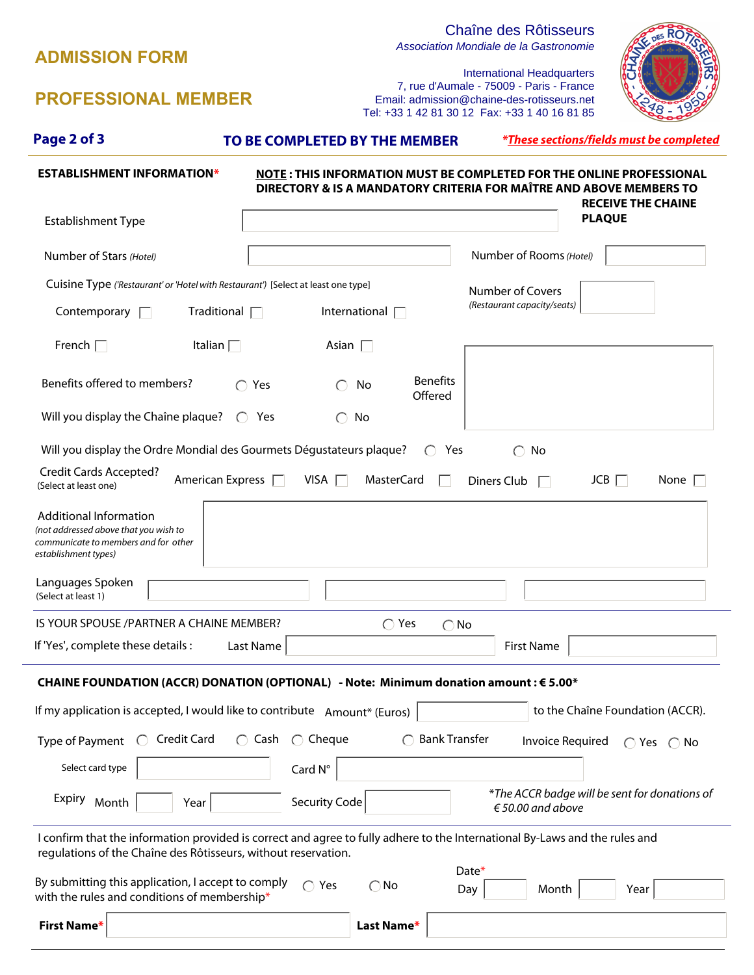| <b>PROFESSIONAL MEMBER</b>                                                                                                                                                                    |                                                             | <b>International Headquarters</b><br>7, rue d'Aumale - 75009 - Paris - France<br>Email: admission@chaine-des-rotisseurs.net<br>Tel: +33 1 42 81 30 12 Fax: +33 1 40 16 81 85 |  |  |  |  |
|-----------------------------------------------------------------------------------------------------------------------------------------------------------------------------------------------|-------------------------------------------------------------|------------------------------------------------------------------------------------------------------------------------------------------------------------------------------|--|--|--|--|
| Page 2 of 3                                                                                                                                                                                   | TO BE COMPLETED BY THE MEMBER                               | <i>*These sections/fields must be completed</i>                                                                                                                              |  |  |  |  |
| <b>ESTABLISHMENT INFORMATION*</b>                                                                                                                                                             |                                                             | NOTE: THIS INFORMATION MUST BE COMPLETED FOR THE ONLINE PROFESSIONAL<br>DIRECTORY & IS A MANDATORY CRITERIA FOR MAÎTRE AND ABOVE MEMBERS TO<br><b>RECEIVE THE CHAINE</b>     |  |  |  |  |
| <b>Establishment Type</b>                                                                                                                                                                     |                                                             | <b>PLAQUE</b><br>$\overline{\phantom{a}}$                                                                                                                                    |  |  |  |  |
| Number of Stars (Hotel)                                                                                                                                                                       | $\left  \cdot \right $                                      | Number of Rooms (Hotel)                                                                                                                                                      |  |  |  |  |
| Cuisine Type ('Restaurant' or 'Hotel with Restaurant') [Select at least one type]<br>Traditional $\Box$<br>Contemporary $\Box$                                                                | International $\Box$                                        | <b>Number of Covers</b><br>(Restaurant capacity/seats)                                                                                                                       |  |  |  |  |
| French $\Box$<br>Italian $\Box$                                                                                                                                                               | Asian $\Box$                                                |                                                                                                                                                                              |  |  |  |  |
| Benefits offered to members?                                                                                                                                                                  | <b>Benefits</b><br>$\bigcap$ Yes<br>No<br>Offered           |                                                                                                                                                                              |  |  |  |  |
| Will you display the Chaîne plaque?                                                                                                                                                           | $\bigcap$ Yes<br>No                                         |                                                                                                                                                                              |  |  |  |  |
| Will you display the Ordre Mondial des Gourmets Dégustateurs plaque?                                                                                                                          | Yes<br>$\left( \begin{array}{c} \end{array} \right)$        | $\bigcap$<br>No                                                                                                                                                              |  |  |  |  |
| <b>Credit Cards Accepted?</b><br>American Express $\Box$<br>(Select at least one)                                                                                                             | VISA $\Box$<br><b>MasterCard</b>                            | $JCB$ $\Box$<br>None $\Box$<br>Diners Club                                                                                                                                   |  |  |  |  |
| <b>Additional Information</b><br>(not addressed above that you wish to<br>communicate to members and for other<br>establishment types)                                                        |                                                             |                                                                                                                                                                              |  |  |  |  |
| Languages Spoken<br>(Select at least 1)                                                                                                                                                       | $\blacktriangledown$                                        | $\vert \vert$                                                                                                                                                                |  |  |  |  |
| IS YOUR SPOUSE / PARTNER A CHAINE MEMBER?                                                                                                                                                     | $\bigcap$ Yes<br>$\bigcirc$ No                              |                                                                                                                                                                              |  |  |  |  |
| If 'Yes', complete these details :                                                                                                                                                            | Last Name                                                   | <b>First Name</b>                                                                                                                                                            |  |  |  |  |
| CHAINE FOUNDATION (ACCR) DONATION (OPTIONAL) - Note: Minimum donation amount : € 5.00*                                                                                                        |                                                             |                                                                                                                                                                              |  |  |  |  |
| If my application is accepted, I would like to contribute Amount* (Euros)<br>to the Chaîne Foundation (ACCR).                                                                                 |                                                             |                                                                                                                                                                              |  |  |  |  |
| <b>Credit Card</b><br>Type of Payment<br>$\left( \begin{array}{c} \end{array} \right)$                                                                                                        | $\bigcap$ Cheque<br><b>Bank Transfer</b><br>$\bigcirc$ Cash | <b>Invoice Required</b><br>$\bigcap$ Yes $\bigcap$ No                                                                                                                        |  |  |  |  |
| Select card type                                                                                                                                                                              | Card N°                                                     |                                                                                                                                                                              |  |  |  |  |
| Expiry<br>Month<br>Year                                                                                                                                                                       | <b>Security Code</b>                                        | *The ACCR badge will be sent for donations of<br>$\epsilon$ 50.00 and above                                                                                                  |  |  |  |  |
| I confirm that the information provided is correct and agree to fully adhere to the International By-Laws and the rules and<br>regulations of the Chaîne des Rôtisseurs, without reservation. |                                                             |                                                                                                                                                                              |  |  |  |  |
| By submitting this application, I accept to comply<br>with the rules and conditions of membership*                                                                                            | $\bigcap$ Yes<br>$\bigcirc$ No                              | Date*<br>Month<br>Day<br>Year                                                                                                                                                |  |  |  |  |
| <b>First Name*</b>                                                                                                                                                                            | Last Name*                                                  |                                                                                                                                                                              |  |  |  |  |

**ADMISSION FORM**

Chaîne des Rôtisseurs

 $R<sub>es</sub> R<sub>o</sub>$ 

Association Mondiale de la Gastronomie